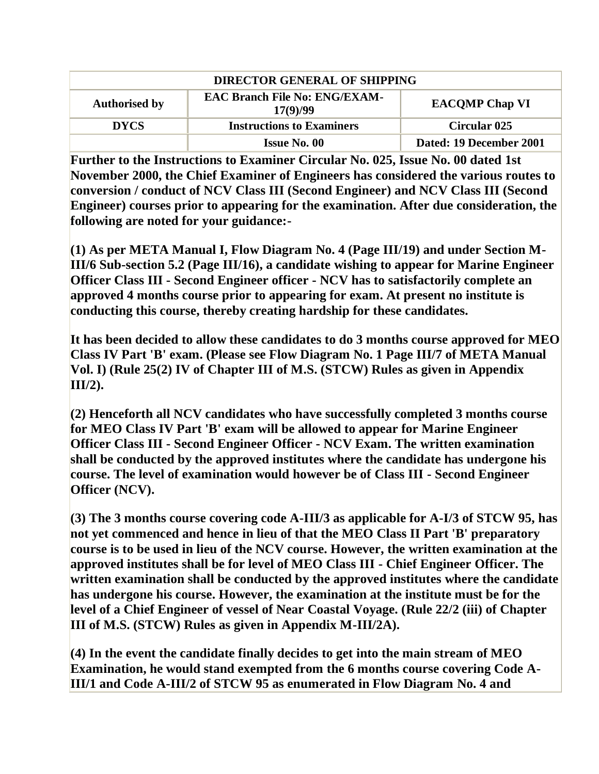| <b>DIRECTOR GENERAL OF SHIPPING</b> |                                                  |                         |
|-------------------------------------|--------------------------------------------------|-------------------------|
| <b>Authorised by</b>                | <b>EAC Branch File No: ENG/EXAM-</b><br>17(9)/99 | <b>EACOMP Chap VI</b>   |
| <b>DYCS</b>                         | <b>Instructions to Examiners</b>                 | <b>Circular 025</b>     |
|                                     | <b>Issue No. 00</b>                              | Dated: 19 December 2001 |

**Further to the Instructions to Examiner Circular No. 025, Issue No. 00 dated 1st November 2000, the Chief Examiner of Engineers has considered the various routes to conversion / conduct of NCV Class III (Second Engineer) and NCV Class III (Second Engineer) courses prior to appearing for the examination. After due consideration, the following are noted for your guidance:-**

**(1) As per META Manual I, Flow Diagram No. 4 (Page III/19) and under Section M-III/6 Sub-section 5.2 (Page III/16), a candidate wishing to appear for Marine Engineer Officer Class III - Second Engineer officer - NCV has to satisfactorily complete an approved 4 months course prior to appearing for exam. At present no institute is conducting this course, thereby creating hardship for these candidates.** 

**It has been decided to allow these candidates to do 3 months course approved for MEO Class IV Part 'B' exam. (Please see Flow Diagram No. 1 Page III/7 of META Manual Vol. I) (Rule 25(2) IV of Chapter III of M.S. (STCW) Rules as given in Appendix III/2).**

**(2) Henceforth all NCV candidates who have successfully completed 3 months course for MEO Class IV Part 'B' exam will be allowed to appear for Marine Engineer Officer Class III - Second Engineer Officer - NCV Exam. The written examination shall be conducted by the approved institutes where the candidate has undergone his course. The level of examination would however be of Class III - Second Engineer Officer (NCV).**

**(3) The 3 months course covering code A-III/3 as applicable for A-I/3 of STCW 95, has not yet commenced and hence in lieu of that the MEO Class II Part 'B' preparatory course is to be used in lieu of the NCV course. However, the written examination at the approved institutes shall be for level of MEO Class III - Chief Engineer Officer. The written examination shall be conducted by the approved institutes where the candidate has undergone his course. However, the examination at the institute must be for the level of a Chief Engineer of vessel of Near Coastal Voyage. (Rule 22/2 (iii) of Chapter III of M.S. (STCW) Rules as given in Appendix M-III/2A).** 

**(4) In the event the candidate finally decides to get into the main stream of MEO Examination, he would stand exempted from the 6 months course covering Code A-III/1 and Code A-III/2 of STCW 95 as enumerated in Flow Diagram No. 4 and**